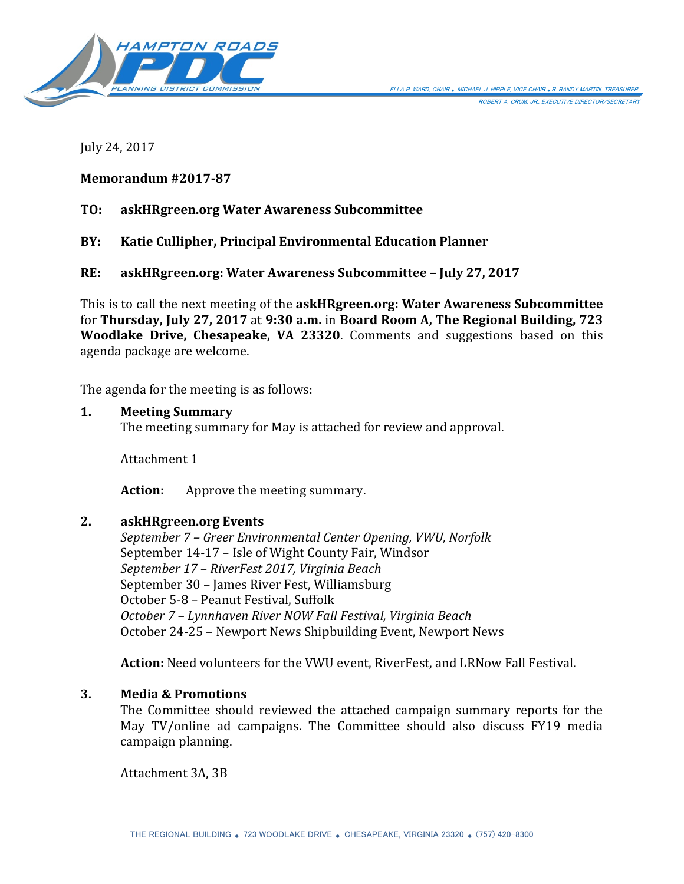

July 24, 2017

## **Memorandum #2017-87**

# **TO: askHRgreen.org Water Awareness Subcommittee**

**BY: Katie Cullipher, Principal Environmental Education Planner**

**RE: askHRgreen.org: Water Awareness Subcommittee – July 27, 2017**

This is to call the next meeting of the **askHRgreen.org: Water Awareness Subcommittee** for **Thursday, July 27, 2017** at **9:30 a.m.** in **Board Room A, The Regional Building, 723 Woodlake Drive, Chesapeake, VA 23320**. Comments and suggestions based on this agenda package are welcome.

The agenda for the meeting is as follows:

#### **1. Meeting Summary**

The meeting summary for May is attached for review and approval.

Attachment 1

**Action:** Approve the meeting summary.

#### **2. askHRgreen.org Events**

*September 7 – Greer Environmental Center Opening, VWU, Norfolk* September 14-17 – Isle of Wight County Fair, Windsor *September 17 – RiverFest 2017, Virginia Beach* September 30 – James River Fest, Williamsburg October 5-8 – Peanut Festival, Suffolk *October 7 – Lynnhaven River NOW Fall Festival, Virginia Beach* October 24-25 – Newport News Shipbuilding Event, Newport News

**Action:** Need volunteers for the VWU event, RiverFest, and LRNow Fall Festival.

#### **3. Media & Promotions**

The Committee should reviewed the attached campaign summary reports for the May TV/online ad campaigns. The Committee should also discuss FY19 media campaign planning.

Attachment 3A, 3B